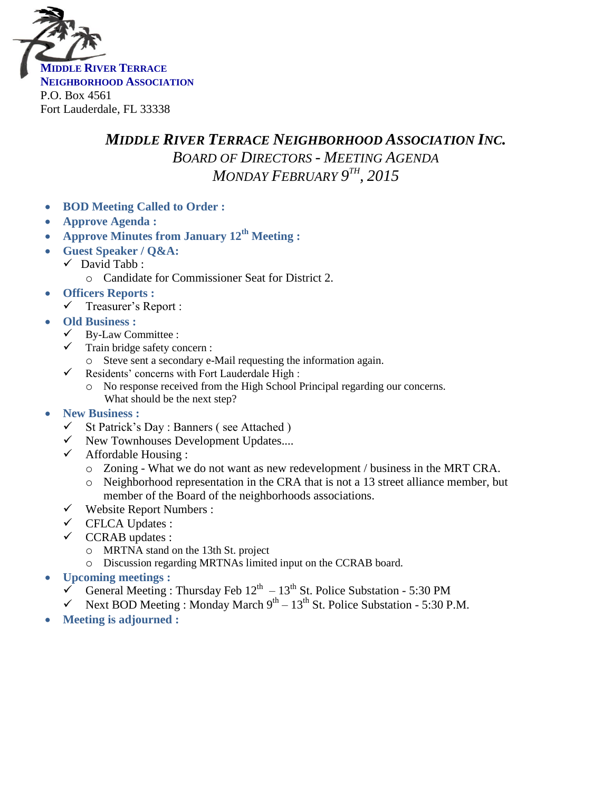

## *MIDDLE RIVER TERRACE NEIGHBORHOOD ASSOCIATION INC. BOARD OF DIRECTORS - MEETING AGENDA MONDAY FEBRUARY 9 TH , 2015*

- **BOD Meeting Called to Order :**
- **Approve Agenda :**
- **Approve Minutes from January 12th Meeting :**
- **Guest Speaker / Q&A:**
	- $\checkmark$  David Tabb :
		- o Candidate for Commissioner Seat for District 2.
- **Officers Reports :**
	- $\checkmark$  Treasurer's Report :
- **Old Business :**
	- $\checkmark$  By-Law Committee :
	- $\checkmark$  Train bridge safety concern :
		- o Steve sent a secondary e-Mail requesting the information again.
	- $\checkmark$  Residents' concerns with Fort Lauderdale High :
		- o No response received from the High School Principal regarding our concerns. What should be the next step?
- **New Business :**
	- $\checkmark$  St Patrick's Day : Banners (see Attached)
	- $\checkmark$  New Townhouses Development Updates....
	- $\checkmark$  Affordable Housing :
		- o Zoning What we do not want as new redevelopment / business in the MRT CRA.
		- o Neighborhood representation in the CRA that is not a 13 street alliance member, but member of the Board of the neighborhoods associations.
	- $\checkmark$  Website Report Numbers :
	- CFLCA Updates :
	- $\checkmark$  CCRAB updates :
		- o MRTNA stand on the 13th St. project
		- o Discussion regarding MRTNAs limited input on the CCRAB board.
- **Upcoming meetings :**
	- General Meeting : Thursday Feb  $12^{th} 13^{th}$  St. Police Substation 5:30 PM
	- $\checkmark$  Next BOD Meeting : Monday March  $9^{th} 13^{th}$  St. Police Substation 5:30 P.M.
- **Meeting is adjourned :**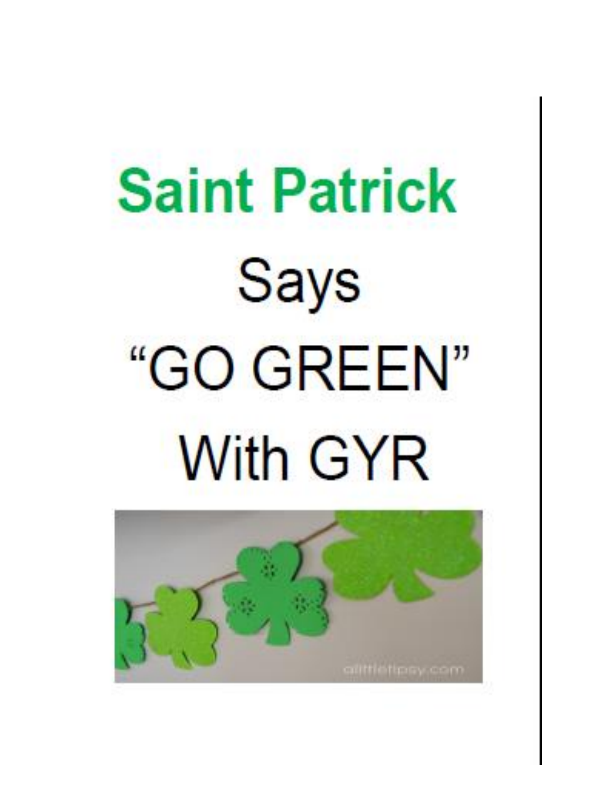## **Saint Patrick Says** "GO GREEN" **With GYR**